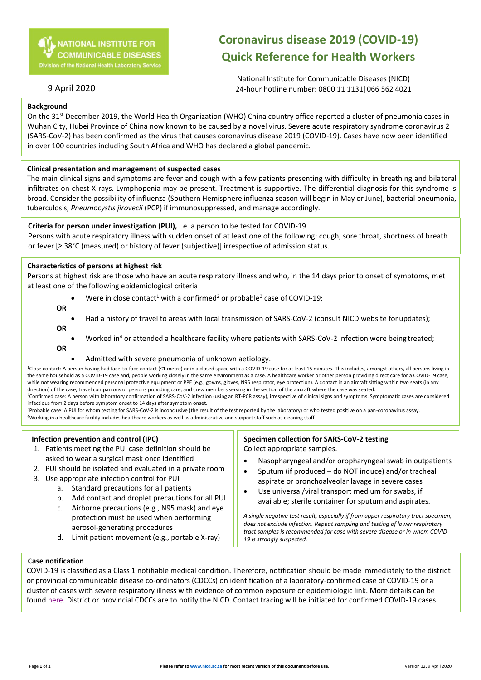# **Coronavirus disease 2019 (COVID-19) Quick Reference for Health Workers**

National Institute for Communicable Diseases (NICD) 24-hour hotline number: 0800 11 1131|066 562 4021

# 9 April 2020

### **Background**

On the 31<sup>st</sup> December 2019, the World Health Organization (WHO) China country office reported a cluster of pneumonia cases in Wuhan City, Hubei Province of China now known to be caused by a novel virus. Severe acute respiratory syndrome coronavirus 2 (SARS-CoV-2) has been confirmed as the virus that causes coronavirus disease 2019 (COVID-19). Cases have now been identified in over 100 countries including South Africa and WHO has declared a global pandemic.

### **Clinical presentation and management of suspected cases**

The main clinical signs and symptoms are fever and cough with a few patients presenting with difficulty in breathing and bilateral infiltrates on chest X-rays. Lymphopenia may be present. Treatment is supportive. The differential diagnosis for this syndrome is broad. Consider the possibility of influenza (Southern Hemisphere influenza season will begin in May or June), bacterial pneumonia, tuberculosis, *Pneumocystis jirovecii* (PCP) if immunosuppressed, and manage accordingly.

#### **Criteria for person under investigation (PUI),** i.e. a person to be tested for COVID-19

Persons with acute respiratory illness with sudden onset of at least one of the following: cough, sore throat, shortness of breath or fever [≥ 38°C (measured) or history of fever (subjective)] irrespective of admission status.

#### **Characteristics of persons at highest risk**

Persons at highest risk are those who have an acute respiratory illness and who, in the 14 days prior to onset of symptoms, met at least one of the following epidemiological criteria:

- Were in close contact<sup>1</sup> with a confirmed<sup>2</sup> or probable<sup>3</sup> case of COVID-19;
- **OR**
- 
- Had a history of travel to areas with local transmission of SARS-CoV-2 (consult NICD website for updates); **OR**
- Worked in<sup>4</sup> or attended a healthcare facility where patients with SARS-CoV-2 infection were being treated; **OR**
	- Admitted with severe pneumonia of unknown aetiology.

<sup>1</sup>Close contact: A person having had face-to-face contact (≤1 metre) or in a closed space with a COVID-19 case for at least 15 minutes. This includes, amongst others, all persons living in the same household as a COVID-19 case and, people working closely in the same environment as a case. A healthcare worker or other person providing direct care for a COVID-19 case, while not wearing recommended personal protective equipment or PPE (e.g., gowns, gloves, N95 respirator, eye protection). A contact in an aircraft sitting within two seats (in any direction) of the case, travel companions or persons providing care, and crew members serving in the section of the aircraft where the case was seated. <sup>2</sup>Confirmed case: A person with laboratory confirmation of SARS-CoV-2 infection (using an RT-PCR assay), irrespective of clinical signs and symptoms. Symptomatic cases are considered

infectious from 2 days before symptom onset to 14 days after symptom onset.

<sup>3</sup>Probable case: A PUI for whom testing for SARS-CoV-2 is inconclusive (the result of the test reported by the laboratory) or who tested positive on a pan-coronavirus assay. <sup>4</sup>Working in a healthcare facility includes healthcare workers as well as administrative and support staff such as cleaning staff

### **Infection prevention and control (IPC)**

- 1. Patients meeting the PUI case definition should be asked to wear a surgical mask once identified
- 2. PUI should be isolated and evaluated in a private room
- 3. Use appropriate infection control for PUI
	- a. Standard precautions for all patients
		- b. Add contact and droplet precautions for all PUI
		- c. Airborne precautions (e.g., N95 mask) and eye protection must be used when performing aerosol-generating procedures
		- d. Limit patient movement (e.g., portable X-ray)

### **Specimen collection for SARS-CoV-2 testing** Collect appropriate samples.

- Nasopharyngeal and/or oropharyngeal swab in outpatients
- Sputum (if produced do NOT induce) and/ortracheal aspirate or bronchoalveolar lavage in severe cases
- Use universal/viral transport medium for swabs, if available; sterile container for sputum and aspirates.

*A single negative test result, especially if from upper respiratory tract specimen, does not exclude infection. Repeat sampling and testing of lower respiratory tract samples is recommended for case with severe disease or in whom COVID-19 is strongly suspected.*

#### **Case notification**

COVID-19 is classified as a Class 1 notifiable medical condition. Therefore, notification should be made immediately to the district or provincial communicable disease co-ordinators (CDCCs) on identification of a laboratory-confirmed case of COVID-19 or a cluster of cases with severe respiratory illness with evidence of common exposure or epidemiologic link. More details can be foun[d here.](https://www.nicd.ac.za/nmc-overview/) District or provincial CDCCs are to notify the NICD. Contact tracing will be initiated for confirmed COVID-19 cases.